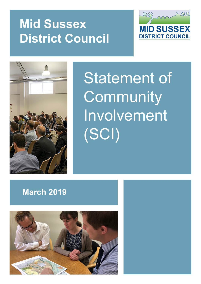# **Mid Sussex District Council**





Statement of **Community** Involvement (SCI)

# **March 2019**

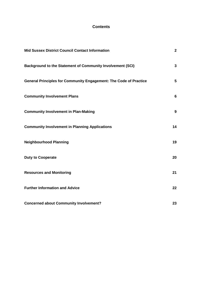# **Contents**

| <b>Mid Sussex District Council Contact Information</b>                   | $\overline{2}$  |
|--------------------------------------------------------------------------|-----------------|
| <b>Background to the Statement of Community Involvement (SCI)</b>        | 3               |
| <b>General Principles for Community Engagement: The Code of Practice</b> | 5               |
| <b>Community Involvement Plans</b>                                       | $6\phantom{1}6$ |
| <b>Community Involvement in Plan-Making</b>                              | 9               |
| <b>Community Involvement in Planning Applications</b>                    | 14              |
| <b>Neighbourhood Planning</b>                                            | 19              |
| <b>Duty to Cooperate</b>                                                 | 20              |
| <b>Resources and Monitoring</b>                                          | 21              |
| <b>Further Information and Advice</b>                                    | 22              |
| <b>Concerned about Community Involvement?</b>                            | 23              |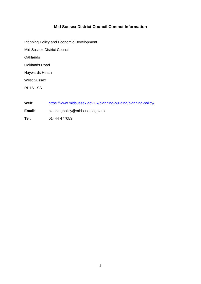# **Mid Sussex District Council Contact Information**

Planning Policy and Economic Development Mid Sussex District Council **Oaklands** Oaklands Road Haywards Heath West Sussex RH16 1SS

- **Web:** <https://www.midsussex.gov.uk/planning-building/planning-policy/>
- **Email:** planningpolicy@midsussex.gov.uk
- **Tel:** 01444 477053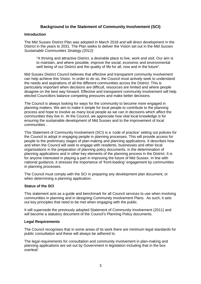# **Background to the Statement of Community Involvement (SCI)**

#### **Introduction**

The Mid Sussex District Plan was adopted in March 2018 and will direct development in the District in the years to 2031. The Plan seeks to deliver the Vision set out in the *Mid Sussex Sustainable Communities Strategy (2012):*

"A thriving and attractive District, a desirable place to live, work and visit. Our aim is to maintain, and where possible, improve the social, economic and environmental well being of our District and the quality of life for all, now and in the future".

Mid Sussex District Council believes that effective and transparent community involvement can help achieve this Vision. In order to do so, the Council must actively seek to understand the needs and aspirations of all the different communities across the District. This is particularly important when decisions are difficult, resources are limited and where people disagree on the best way forward. Effective and transparent community involvement will help elected Councillors balance competing pressures and make better decisions.

The Council is always looking for ways for the community to become more engaged in planning matters. We aim to make it simple for local people to contribute to the planning process and hope to involve as many local people as we can in decisions which affect the communities they live in. At the Council, we appreciate how vital local knowledge is for ensuring the sustainable development of Mid Sussex and to the improvement of local communities .

This Statement of Community Involvement (SCI) is a 'code of practice' setting out policies for the Council to adopt in engaging people in planning processes. This will provide access for people to the preliminary stages of plan-making and planning applications. It describes how and when the Council will seek to engage with residents, businesses and other local organisations in the preparation of planning policy documents, in the determination of planning applications and in other key elements of the planning process in the District. It is for anyone interested in playing a part in improving the future of Mid Sussex. In line with national guidance, it stresses the importance of 'front-loading' engagement by communities in planning processes.

The Council must comply with the SCI in preparing any development plan document, or when determining a planning application.

#### **Status of the SCI**

This statement acts as a guide and benchmark for all Council services to use when involving communities in planning and in designing Community Involvement Plans. As such, it sets out key principles that need to be met when engaging with the public.

It will supersede the previously adopted Statement of Community Involvement (2011) and will become a statutory document of the Council's Planning Policy documents.

#### **Legal Requirements**

The Council recognises that in some areas of its work there are minimum legal standards for public consultation and these will always be adhered to.

The legal requirements for consultation and community involvement in plan-making and planning applications are set out by Government in legislation including that in the box overleaf: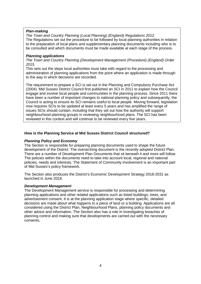#### *Plan-making*

*The Town and Country Planning (Local Planning) (England) Regulations 2012.* The Regulations set out the procedure to be followed by local planning authorities in relation to the preparation of local plans and supplementary planning documents including who is to be consulted and which documents must be made available at each stage of the process.

#### *Planning applications*

*The Town and Country Planning (Development Management (Procedure) (England) Order 2015.*

This sets out the steps local authorities must take with regard to the processing and administration of planning applications from the point where an application is made through to the way in which decisions are recorded.

The requirement to prepare a SCI is set out in the Planning and Compulsory Purchase Act (2004). Mid Sussex District Council first published an SCI in 2011 to explain how the Council engage and involve local people and communities in the planning process. Since 2011 there have been a number of important changes to national planning policy and subsequently, the Council is acting to ensure its SCI remains useful to local people. Moving forward, legislation now requires SCIs to be updated at least every 5 years and has amplified the range of issues SCIs should contain, including that they set out how the authority will support neighbourhood planning groups in reviewing neighbourhood plans. The SCI has been reviewed in this context and will continue to be reviewed every five years.

# **How is the Planning Service at Mid Sussex District Council structured?**

#### *Planning Policy and Economy*

The Section is responsible for preparing planning documents used to shape the future development of the District. The overarching document is the recently adopted District Plan. There are a number of Development Plan Documents that sit beneath it and more will follow. The policies within the documents need to take into account local, regional and national policies, needs and interests. The Statement of Community Involvement is an important part of Mid Sussex's policy framework.

The Section also produces the District's Economic Development Strategy 2018-2031 as launched in June 2018.

#### *Development Management*

The Development Management service is responsible for processing and determining planning applications and other related applications such as listed buildings, trees, and advertisement consent. It is at the planning application stage where specific, detailed decisions are made about what happens to a piece of land or a building. Applications are all considered using the District Plan, Neighbourhood Plans, planning policy documents and other advice and information. The Section also has a role in investigating breaches of planning control and making sure that developments are carried out with the necessary consents.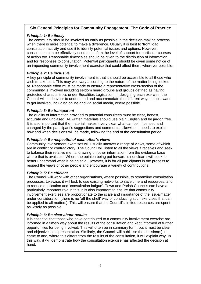# **Six General Principles for Community Engagement: The Code of Practice**

# *Principle 1: Be timely*

The community should be involved as early as possible in the decision-making process when there is more potential to make a difference. Usually it is best to 'front load' consultation activity and use it to identify potential issues and options. However, consultation can be effectively used to confirm the level of support for particular courses of action too. Reasonable timescales should be given to the distribution of information and for responses to consultation. Potential participants should be given some notice of an impending community involvement exercise that could affect them, wherever possible.

# *Principle 2: Be inclusive*

A key principle of community involvement is that it should be accessible to all those who wish to take part. This may well vary according to the nature of the matter being looked at. Reasonable effort must be made to ensure a representative cross-section of the community is involved including seldom heard groups and groups defined as having protected characteristics under Equalities Legislation. In designing each exercise, the Council will endeavour to understand and accommodate the different ways people want to get involved, including online and via social media, where possible.

# *Principle 3: Be transparent*

The quality of information provided to potential consultees must be clear, honest, accurate and unbiased. All written materials should use plain English and be jargon free. It is also important that the material makes it very clear what can be influenced and changed by the participant's suggestions and comments. Likewise, it needs to explain how and when decisions will be made, following the end of the consultation period.

#### *Principle 4: Be respectful of each other's views*

Community involvement exercises will usually uncover a range of views, some of which are in conflict or contradictory. The Council will listen to all the views it receives and seek to balance their relative merits, drawing on other information from the evidence base where that is available. Where the opinion being put forward is not clear it will seek to better understand what is being said. However, it is for all participants in the process to respect the views of other people and encourage a variety of contributions.

#### *Principle 5: Be efficient*

The Council will work with other organisations, where possible, to streamline consultation processes. Likewise, it will look to use existing networks to save time and resources, and to reduce duplication and 'consultation fatigue'. Town and Parish Councils can have a particularly important role in this. It is also important to ensure that community involvement exercises are proportionate to the scale and importance of the issue/matter under consideration (there is no 'off the shelf' way of conducting such exercises that can be applied to all matters). This will ensure that the Council's limited resources are spent as wisely as possible.

# *Principle 6: Be clear about results*

It is essential that those who have contributed to a community involvement exercise are informed in a timely way about the results of the consultation and kept informed of further opportunities for being involved. This will often be in summary form, but it must be clear and objective in its presentation. Similarly, the Council will publicise the decision(s) it came to and, where this differs from the results of the consultation, it will explain why. In this way, it will demonstrate how the consultation exercise has affected the decision at hand.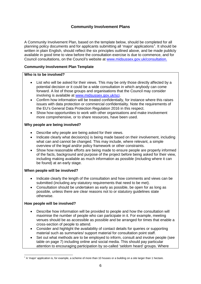# **Community Involvement Plans**

A Community Involvement Plan, based on the template below, should be completed for all planning policy documents and for applicants submitting all 'major' applications<sup>[1](#page-6-0)</sup>. It should be written in plain English, should reflect the six principles outlined above, and be made publicly available in good time to view before the consultation exercise is due to commence, and for Council consultations, on the Council's website at [www.midsussex.gov.uk/consultation.](http://www.midsussex.gov.uk/consultation)

# **Community Involvement Plan Template**

#### **Who is to be involved?**

- List who will be asked for their views. This may be only those directly affected by a potential decision or it could be a wide consultation in which anybody can come forward. A list of those groups and organisations that the Council may consider involving is available at [www.midsussex.gov.uk/sci.](http://www.midsussex.gov.uk/sci)
- Confirm how information will be treated confidentially, for instance where this raises issues with data protection or commercial confidentiality. Note the requirements of the EU's General Data Protection Regulation 2016 in this respect.
- Show how opportunities to work with other organisations and make involvement more comprehensive, or to share resources, have been used.

#### **Why people are being involved?**

- Describe why people are being asked for their views.
- Indicate clearly what decision(s) is being made based on their involvement, including what can and cannot be changed. This may include, where relevant, a simple overview of the legal and/or policy framework or other constraints.
- Show how reasonable efforts are being made to ensure people are properly informed of the facts, background and purpose of the project before being asked for their view, including making available as much information as possible (including where it can be found) at an early stage.

#### **When people will be involved?**

- Indicate clearly the length of the consultation and how comments and views can be submitted (including any statutory requirements that need to be met).
- Consultation should be undertaken as early as possible, be open for as long as possible, unless there are clear reasons not to or statutory guidelines state otherwise.

#### **How people will be involved?**

- Describe how information will be provided to people and how the consultation will maximise the number of people who can participate in it. For example, meeting venues should be as accessible as possible and be arranged for times that enable a cross-section of people to attend.
- Consider and highlight the availability of contact details for queries or supporting material such as summaries/ support material for consultation point staff.
- Set out what methods are to be employed to inform, consult and involve people (see table on page 7) including online and social media. This should pay particular attention to encouraging participation by so-called 'seldom heard' groups. Where

<span id="page-6-0"></span> $1$  A 'major' application is, for example, a scheme of more than 10 houses or a building on a site larger than 1 hectare.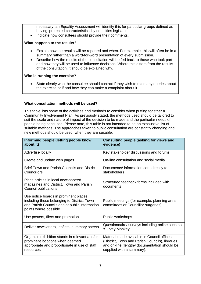necessary, an Equality Assessment will identify this for particular groups defined as having 'protected characteristics' by equalities legislation.

• Indicate how consultees should provide their comments.

#### **What happens to the results?**

- Explain how the results will be reported and when. For example, this will often be in a summary rather than a word-for-word presentation of every submission.
- Describe how the results of the consultation will be fed back to those who took part and how they will be used to influence decisions. Where this differs from the results of the consultation, it should be explained why.

#### **Who is running the exercise?**

• State clearly who the consultee should contact if they wish to raise any queries about the exercise or if and how they can make a complaint about it.

#### **What consultation methods will be used?**

This table lists some of the activities and methods to consider when putting together a Community Involvement Plan. As previously stated, the methods used should be tailored to suit the scale and nature of impact of the decision to be made and the particular needs of people being consulted. Please note, this table is not intended to be an exhaustive list of suitable methods. The approaches taken to public consultation are constantly changing and new methods should be used, when they are suitable.

| Informing people (letting people know<br>about it)                                                                                                              | <b>Consulting people (asking for views and</b><br>evidence)                                                                                                                |
|-----------------------------------------------------------------------------------------------------------------------------------------------------------------|----------------------------------------------------------------------------------------------------------------------------------------------------------------------------|
| Advertise locally                                                                                                                                               | Key stakeholder discussions and forums                                                                                                                                     |
| Create and update web pages                                                                                                                                     | On-line consultation and social media                                                                                                                                      |
| <b>Brief Town and Parish Councils and District</b><br>Councillors                                                                                               | Documents/ information sent directly to<br>stakeholders                                                                                                                    |
| Place articles in local newspapers/<br>magazines and District, Town and Parish<br>Council publications                                                          | Structured feedback forms included with<br>documents                                                                                                                       |
| Use notice boards in prominent places<br>including those belonging to District, Town<br>and Parish Councils and at public information<br>points where possible. | Public meetings (for example, planning area<br>committees or Councillor surgeries)                                                                                         |
| Use posters, fliers and promotion                                                                                                                               | Public workshops                                                                                                                                                           |
| Deliver newsletters, leaflets, summary sheets                                                                                                                   | Questionnaire/ surveys including online such as<br>'Survey Monkey'                                                                                                         |
| Organise exhibition stands in relevant and/or<br>prominent locations when deemed<br>appropriate and proportionate in use of staff<br>resources                  | Material made available in Council offices<br>(District, Town and Parish Councils), libraries<br>and on-line (lengthy documentation should be<br>supplied with a summary). |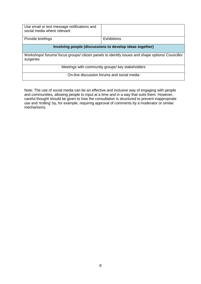| Use email or text message notifications and<br>social media where relevant                                    |                    |  |  |
|---------------------------------------------------------------------------------------------------------------|--------------------|--|--|
| Provide briefings                                                                                             | <b>Exhibitions</b> |  |  |
| Involving people (discussions to develop ideas together)                                                      |                    |  |  |
| Workshops/ forums/ focus groups/ citizen panels to identify issues and shape options/ Councillor<br>surgeries |                    |  |  |
| Meetings with community groups/ key stakeholders                                                              |                    |  |  |
| On-line discussion forums and social media                                                                    |                    |  |  |

Note: The use of social media can be an effective and inclusive way of engaging with people and communities, allowing people to input at a time and in a way that suits them. However, careful thought should be given to how the consultation is structured to prevent inappropriate use and 'trolling' by, for example, requiring approval of comments by a moderator or similar mechanisms.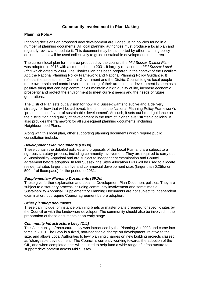# **Community Involvement in Plan-Making**

#### **Planning Policy**

Planning decisions on proposed new development are judged using policies found in a number of planning documents. All local planning authorities must produce a local plan and regularly review and update it. This document may be supported by other planning policy documents that will be used collectively to guide sustainable development in the area.

The current local plan for the area produced by the council, the *Mid Sussex District Plan*, was adopted in 2018 with a time horizon to 2031. It largely replaced the *Mid Sussex Local Plan* which dated to 2004. The District Plan has been prepared in the context of the Localism Act, the National Planning Policy Framework and National Planning Policy Guidance. It reflects the aspirations of Central Government and the District Council to give local people more ownership and control over the planning of their area so that development is seen as a positive thing that can help communities maintain a high quality of life, increase economic prosperity and protect the environment to meet current needs and the needs of future generations.

The District Plan sets out a vision for how Mid Sussex wants to evolve and a delivery strategy for how that will be achieved. It enshrines the National Planning Policy Framework's 'presumption in favour of sustainable development'. As such, it sets out broad guidance on the distribution and quality of development in the form of 'higher level' strategic policies. It also provides the framework for all subsequent planning documents, including Neighbourhood Plans.

Along with this local plan, other supporting planning documents which require public consultation include:

#### *Development Plan Documents (DPDs)*

These contain the detailed policies and proposals of the Local Plan and are subject to a rigorous statutory process, including community involvement. They are required to carry out a Sustainability Appraisal and are subject to independent examination and Council agreement before adoption. In Mid Sussex, the Sites Allocation DPD will be used to allocate residential sites larger than five and commercial development sites (larger than 0.25ha or 500m<sup>2</sup> of floorspace) for the period to 2031.

#### *Supplementary Planning Documents (SPDs)*

These give further explanation and detail to Development Plan Document policies. They are subject to a statutory process including community involvement and sometimes a Sustainability Appraisal. Supplementary Planning Documents are not subject to independent examination, but require Council agreement before adoption.

#### *Other planning documents*

These can include for instance planning briefs or master plans prepared for specific sites by the Council or with the landowner/ developer. The community should also be involved in the preparation of these documents at an early stage.

#### *Community Infrastructure Levy (CIL)*

The Community Infrastructure Levy was introduced by the Planning Act 2008 and came into force in 2010. The Levy is a fixed, non-negotiable charge on development, relative to the size, and allows Local Authorities to levy planning charges on new building projects classed as 'chargeable development'. The Council is currently working towards the adoption of the CIL, and when completed, this will be used to help fund a wide range of infrastructure to support development across Mid Sussex.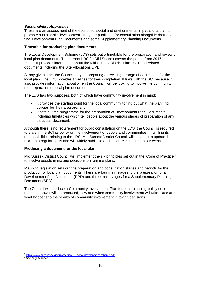#### *Sustainability Appraisals*

These are an assessment of the economic, social and environmental impacts of a plan to promote sustainable development. They are published for consultation alongside draft and final Development Plan Documents and some Supplementary Planning Documents.

#### **Timetable for producing plan documents**

The Local Development Scheme (LDS) sets out a timetable for the preparation and review of local plan documents. The current LDS for Mid Sussex covers the period from 2017 to  $2020<sup>2</sup>$  $2020<sup>2</sup>$ . It provides information about the Mid Sussex District Plan 2031 and related documents including the Site Allocations DPD.

At any given time, the Council may be preparing or revising a range of documents for the local plan. The LDS provides timelines for their completion. It links with the SCI because it also provides information about when the Council will be looking to involve the community in the preparation of local plan documents.

The LDS has two purposes, both of which have community involvement in mind:

- It provides the starting point for the local community to find out what the planning policies for their area are; and
- It sets out the programme for the preparation of Development Plan Documents, including timetables which tell people about the various stages of preparation of any particular document.

Although there is no requirement for public consultation on the LDS, the Council is required to state in the SCI its policy on the involvement of people and communities in fulfilling its responsibilities relating to the LDS. Mid Sussex District Council will continue to update the LDS on a regular basis and will widely publicise each update including on our website.

#### **Producing a document for the local plan**

Mid Sussex District Council will implement the six principles set out in the 'Code of Practice'<sup>[3](#page-10-1)</sup> to involve people in making decisions on forming plans.

Planning legislation sets out the preparation and consultation stages and periods for the production of local plan documents. There are four main stages to the preparation of a Development Plan Document (DPD) and three main stages for a Supplementary Planning Document (SPD).

The Council will produce a Community Involvement Plan for each planning policy document to set out how it will be produced, how and when community involvement will take place and what happens to the results of community involvement in taking decisions.

<span id="page-10-0"></span> $^2$  <https://www.midsussex.gov.uk/media/2696/local-development-scheme.pdf>  $^3$  See page 5 above

<span id="page-10-1"></span>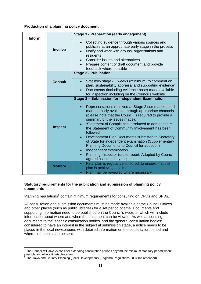# **Production of a planning policy document**

| Inform |                | <b>Stage 1 - Preparation (early engagement)</b>                                                                                                                                                                                                                                                                                        |
|--------|----------------|----------------------------------------------------------------------------------------------------------------------------------------------------------------------------------------------------------------------------------------------------------------------------------------------------------------------------------------|
|        | <b>Involve</b> | Collecting evidence through various sources and<br>$\bullet$<br>publicise at an appropriate early stage in the process<br>Notify and work with groups, organisations and<br>$\bullet$<br>residents<br>Consider issues and alternatives<br>Prepare content of draft document and provide<br>feedback where possible                     |
|        |                | <b>Stage 2 - Publication</b>                                                                                                                                                                                                                                                                                                           |
|        | <b>Consult</b> | Statutory stage - 6 weeks (minimum) to comment on<br>$\bullet$<br>plan, sustainability appraisal and supporting evidence <sup>4</sup><br>Documents (including evidence base) made available<br>for inspection including on the Council's website                                                                                       |
|        |                | Stage 3 - Submission for Independent Examination                                                                                                                                                                                                                                                                                       |
|        | <b>Inspect</b> | Representations received at Stage 2 summarised and<br>$\bullet$<br>made publicly available through appropriate channels<br>(please note that the Council is required to provide a<br>summary of the issues made).<br>'Statement of Compliance' produced to demonstrate<br>$\bullet$<br>the Statement of Community Involvement has been |
|        |                | followed<br>Development Plan Documents submitted to Secretary<br>$\bullet$<br>of State for independent examination (Supplementary<br>Planning Documents to Council for adoption)<br>Independent examination<br>$\bullet$<br>Planning Inspector issues report. Adopted by Council if<br>$\bullet$<br>agreed as 'sound' by Inspector     |
|        | <b>Monitor</b> | Final plan is regularly monitored, to ensure that the<br>$\bullet$<br>plan is achieving its aims<br>Plan may be reviewed where necessary<br>$\bullet$                                                                                                                                                                                  |

#### **Statutory requirements for the publication and submission of planning policy documents**

Planning regulations<sup>[5](#page-11-1)</sup> contain minimum requirements for consulting on DPDs and SPDs.

All consultation and submission documents must be made available at the Council Offices and other places (such as public libraries) for a set period of time. Documents and supporting information need to be published on the Council's website, which will include information about where and when the document can be viewed. As well as sending documents to the 'specific consultation bodies' and the 'general consultation bodies' considered to have an interest in the subject at submission stage, a notice needs to be placed in the local newspaper/s with detailed information on the consultation period and where comments can be sent.

<span id="page-11-0"></span><sup>&</sup>lt;sup>4</sup> The Council will always consider extending consultation periods beyond the minimum statutory period where possible and where timetables allow.

<span id="page-11-1"></span><sup>5</sup> The Town and Country Planning (Local Development) (England) Regulations 2004 (as amended)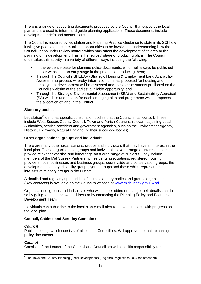There is a range of supporting documents produced by the Council that support the local plan and are used to inform and guide planning applications. These documents include development briefs and master plans.

The Council is required by legislation and Planning Practice Guidance to state in its SCI how it will give people and communities opportunities to be involved in understanding how the Council keeps under review matters which may affect the development of its area or the planning of its development. This is the 'survey' stage of producing plans. The Council undertakes this activity in a variety of different ways including the following:

- In the evidence base for planning policy documents, which will always be published on our website at an early stage in the process of producing them;
- Through the Council's SHELAA (Strategic Housing & Employment Land Availability Assessment) process whereby information on sites proposed for housing and employment development will be assessed and those assessments published on the Council's website at the earliest available opportunity; and
- Through the Strategic Environmental Assessment (SEA) and Sustainability Appraisal (SA) which is undertaken for each emerging plan and programme which proposes the allocation of land in the District.

#### **Statutory bodies**

Legislation*[6](#page-12-0)* identifies specific consultation bodies that the Council must consult. These include West Sussex County Council, Town and Parish Councils, relevant adjoining Local Authorities, service providers and government agencies, such as the Environment Agency, Historic, Highways, Natural England (or their successor bodies).

#### **Other organisations, groups and individuals**

There are many other organisations, groups and individuals that may have an interest in the local plan. These organisations, groups and individuals cover a range of interests and can provide relevant expertise and knowledge on a wide range of subjects. They include members of the Mid Sussex Partnership, residents associations, registered housing providers, local businesses and business groups, countryside and conservation groups, the development industry, disability groups, youth groups and those which represent the interests of minority groups in the District.

A detailed and regularly updated list of all the statutory bodies and groups organisations ('key contacts') is available on the Council's website at [www.midsussex.gov.uk/sci.](http://www.midsussex.gov.uk/sci)

Organisations, groups and individuals who wish to be added or change their details can do so by going to the same web address or by contacting the Planning Policy and Economic Development Team.

Individuals can subscribe to the local plan e-mail alert to be kept in touch with progress on the local plan.

#### **Council, Cabinet and Scrutiny Committee**

#### *Council*

Public meeting, which consists of all elected Councillors. Will approve the main planning policy documents.

#### *Cabinet*

Consists of the Leader of the Council and Councillors with specific responsibility for

<span id="page-12-0"></span> $6$  The Town and Country Planning (Local Development) (England) Regulations 2004 (as amended)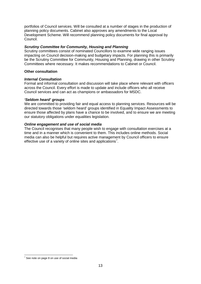portfolios of Council services. Will be consulted at a number of stages in the production of planning policy documents. Cabinet also approves any amendments to the Local Development Scheme. Will recommend planning policy documents for final approval by Council.

#### *Scrutiny Committee for Community, Housing and Planning*

Scrutiny committees consist of nominated Councillors to examine wide ranging issues impacting on Council decision-making and budgetary impacts. For planning this is primarily be the Scrutiny Committee for Community, Housing and Planning, drawing in other Scrutiny Committees where necessary. It makes recommendations to Cabinet or Council.

#### **Other consultation**

#### *Internal Consultation*

Formal and informal consultation and discussion will take place where relevant with officers across the Council. Every effort is made to update and include officers who all receive Council services and can act as champions or ambassadors for MSDC.

#### *'Seldom heard' groups*

We are committed to providing fair and equal access to planning services. Resources will be directed towards those 'seldom heard' groups identified in Equality Impact Assessments to ensure those affected by plans have a chance to be involved, and to ensure we are meeting our statutory obligations under equalities legislation.

#### *Online engagement and use of social media*

The Council recognises that many people wish to engage with consultation exercises at a time and in a manner which is convenient to them. This includes online methods. Social media can also be helpful but requires active management by Council officers to ensure effective use of a variety of online sites and applications<sup>[7](#page-13-0)</sup>.

<span id="page-13-0"></span> $7$  See note on page 8 on use of social media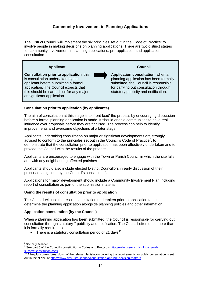# **Community Involvement in Planning Applications**

The District Council will implement the six principles set out in the 'Code of Practice' to involve people in making decisions on planning applications. There are two distinct stages for community involvement in planning applications: pre-application and application consultation.



#### **Consultation prior to application (by applicants)**

The aim of consultation at this stage is to 'front-load' the process by encouraging discussion before a formal planning application is made. It should enable communities to have real influence over proposals before they are finalised. The process can help to identify improvements and overcome objections at a later stage.

Applicants undertaking consultation on major or significant developments are strongly advised to conform to the principles set out in the Council's Code of Practice<sup>[8](#page-14-0)</sup>, to demonstrate that the consultation prior to application has been effectively undertaken and to provide the Council with the results of the process.

Applicants are encouraged to engage with the Town or Parish Council in which the site falls and with any neighbouring affected parishes.

Applicants should also include elected District Councillors in early discussion of their proposals as guided by the Council's constitution<sup>[9](#page-14-1)</sup>.

Applications for major development should include a Community Involvement Plan including report of consultation as part of the submission material.

#### **Using the results of consultation prior to application**

The Council will use the results consultation undertaken prior to application to help determine the planning application alongside planning policies and other information.

#### **Application consultation (by the Council)**

When a planning application has been submitted, the Council is responsible for carrying out consultation through statutory<sup>[10](#page-14-2)</sup> publicity and notification. The Council often does more than it is formally required to.

There is a statutory consultation period of 21 days<sup>11</sup>.

<span id="page-14-3"></span><sup>&</sup>lt;sup>8</sup> See page 5 above

<span id="page-14-1"></span><span id="page-14-0"></span><sup>9</sup> See part 5 of the Council's constitution – Codes and Protocol[s http://mid-sussex.cmis.uk.com/mid](http://mid-sussex.cmis.uk.com/mid-sussex/Constitution.aspx)[sussex/Constitution.aspx](http://mid-sussex.cmis.uk.com/mid-sussex/Constitution.aspx)

<span id="page-14-2"></span> $10$  A helpful current breakdown of the relevant legislation covering the requirements for public consultation is set out in the NPPG a[t https://www.gov.uk/guidance/consultation-and-pre-decision-matters](https://www.gov.uk/guidance/consultation-and-pre-decision-matters)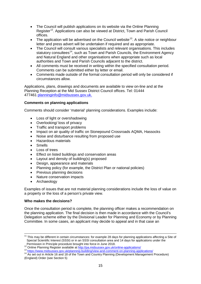- The Council will publish applications on its website via the Online Planning Register<sup>[12](#page-15-0)</sup>. Applications can also be viewed at District, Town and Parish Council offices.
- The application will be advertised on the Council website<sup>13</sup>. A site notice or neighbour letter and press advert will be undertaken if required and as appropriate.
- The Council will consult various specialists and relevant organisations. This includes statutory consultees<sup>[14](#page-15-2)</sup>, such as Town and Parish Councils, the Environment Agency and Natural England and other organisations when appropriate such as local authorities and Town and Parish Councils adjacent to the district.
- All comments must be received in writing within the specified consultation period. Comments can be submitted either by letter or email.
- Comments made outside of the formal consultation period will only be considered if circumstances allow.

Applications, plans, drawings and documents are available to view on-line and at the Planning Reception at the Mid Sussex District Council offices. Tel: 01444 477461 [planninginfo@midsussex.gov.uk.](mailto:planninginfo@midsussex.gov.uk)

#### **Comments on planning applications**

Comments should consider 'material' planning considerations. Examples include:

- Loss of light or overshadowing
- Overlooking/ loss of privacy
- Traffic and transport problems
- Impact on air quality of traffic on Stonepound Crossroads AQMA, Hassocks
- Noise and disturbance resulting from proposed use
- Hazardous materials
- Smells
- Loss of trees
- Effect on listed buildings and conservation areas
- Layout and density of building(s) proposed
- Design, appearance and materials
- Planning policy (for example, the District Plan or national policies)
- Previous planning decisions
- Nature conservation impacts
- **Archaeology**

Examples of issues that are not material planning considerations include the loss of value on a property or the loss of a person's private view.

#### **Who makes the decisions?**

Once the consultation period is complete, the planning officer makes a recommendation on the planning application. The final decision is then made in accordance with the Council's Delegation scheme either by the Divisional Leader for Planning and Economy or by Planning Committee. In some cases, an applicant may decide to appeal and in that case an

 $11$  This may be different in certain circumstances: for example 28 days for planning applications affecting a Site of Special Scientific Interest (SSSI) or in an SSSI consultation area and 14 days for applications under the

<span id="page-15-2"></span><span id="page-15-1"></span>

<span id="page-15-0"></span>Permission in Principle procedure brought into force in June 2018.<br>
<sup>12</sup> Online Planning Register available at<http://pa.midsussex.gov.uk/online-applications/><br>
<sup>13</sup> https://www.midsussex.gov.uk/planning-building/view-and-c (England) Order (see Section 5)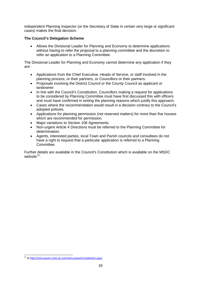independent Planning Inspector (or the Secretary of State in certain very large or significant cases) makes the final decision.

#### **The Council's Delegation Scheme**

• Allows the Divisional Leader for Planning and Economy to determine applications without having to refer the proposal to a planning committee and the discretion to refer an application to a Planning Committee.

The Divisional Leader for Planning and Economy cannot determine any application if they are:

- Applications from the Chief Executive, Heads of Service, or staff involved in the planning process, or their partners, or Councillors or their partners.
- Proposals involving the District Council or the County Council as applicant or landowner.
- In line with the Council's Constitution, Councillors making a request for applications to be considered by Planning Committee must have first discussed this with officers and must have confirmed in writing the planning reasons which justify this approach.
- Cases where the recommendation would result in a decision contrary to the Council's adopted policies.
- Applications for planning permission (not reserved matters) for more than five houses which are recommended for permission.
- Major variations to Section 106 Agreements.
- Non-urgent Article 4 Directions must be referred to the Planning Committee for determination.
- Agents, interested parties, local Town and Parish councils and consultees do not have a right to request that a particular application is referred to a Planning Committee.

Further details are available in the Council's Constitution which is available on the MSDC website<sup>[15](#page-16-0)</sup>

<span id="page-16-0"></span> <sup>15</sup> A[t http://mid-sussex.cmis.uk.com/mid-sussex/Constitution.aspx](http://mid-sussex.cmis.uk.com/mid-sussex/Constitution.aspx)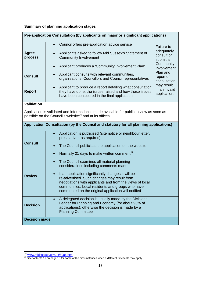# **Summary of planning application stages**

| Pre-application Consultation (by applicants on major or significant applications)                                                                               |                                                                                                                                                                                                                                                                                                                                                                                            |                                                                                                                                |  |
|-----------------------------------------------------------------------------------------------------------------------------------------------------------------|--------------------------------------------------------------------------------------------------------------------------------------------------------------------------------------------------------------------------------------------------------------------------------------------------------------------------------------------------------------------------------------------|--------------------------------------------------------------------------------------------------------------------------------|--|
| <b>Agree</b><br>process<br><b>Consult</b>                                                                                                                       | Council offers pre-application advice service<br>Applicants asked to follow Mid Sussex's Statement of<br><b>Community Involvement</b><br>Applicant produces a 'Community Involvement Plan'<br>Applicant consults with relevant communities,<br>$\bullet$<br>organisations, Councillors and Council representatives                                                                         | <b>Failure to</b><br>adequately<br>consult or<br>submit a<br>Community<br>Involvement<br>Plan and<br>report of<br>consultation |  |
| <b>Report</b>                                                                                                                                                   | Applicant to produce a report detailing what consultation<br>$\bullet$<br>they have done, the issues raised and how those issues<br>have been considered in the final application                                                                                                                                                                                                          | may result<br>in an invalid<br>application.                                                                                    |  |
| <b>Validation</b>                                                                                                                                               |                                                                                                                                                                                                                                                                                                                                                                                            |                                                                                                                                |  |
| Application is validated and information is made available for public to view as soon as<br>possible on the Council's website <sup>16</sup> and at its offices. |                                                                                                                                                                                                                                                                                                                                                                                            |                                                                                                                                |  |
| Application Consultation (by the Council and statutory for all planning applications)                                                                           |                                                                                                                                                                                                                                                                                                                                                                                            |                                                                                                                                |  |
| <b>Consult</b>                                                                                                                                                  | Application is publicised (site notice or neighbour letter,<br>$\bullet$<br>press advert as required)<br>The Council publicises the application on the website<br>$\bullet$<br>Normally 21 days to make written comment <sup>17</sup><br>$\bullet$                                                                                                                                         |                                                                                                                                |  |
| <b>Review</b>                                                                                                                                                   | The Council examines all material planning<br>$\bullet$<br>considerations including comments made<br>If an application significantly changes it will be<br>$\bullet$<br>re-advertised. Such changes may result from<br>negotiations with applicants and from the views of local<br>communities. Local residents and groups who have<br>commented on the original application will notified |                                                                                                                                |  |
| <b>Decision</b>                                                                                                                                                 | A delegated decision is usually made by the Divisional<br>Leader for Planning and Economy (for about 90% of<br>applications); otherwise the decision is made by a<br><b>Planning Committee</b>                                                                                                                                                                                             |                                                                                                                                |  |
| <b>Decision made</b>                                                                                                                                            |                                                                                                                                                                                                                                                                                                                                                                                            |                                                                                                                                |  |

<span id="page-17-1"></span><span id="page-17-0"></span><sup>&</sup>lt;sup>16</sup> [www.midsussex.gov.uk/8085.htm](http://www.midsussex.gov.uk/8085.htm)<br><sup>17</sup> See footnote 11 on page 15 for some of the circumstances when a different timescale may apply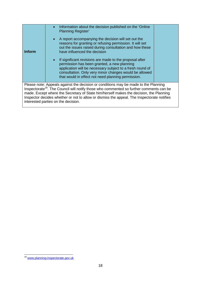| Inform                                                                                                                                                                                                                                                                                                                                                                                                                    | Information about the decision published on the 'Online'<br><b>Planning Register'</b><br>• A report accompanying the decision will set out the<br>reasons for granting or refusing permission. It will set<br>out the issues raised during consultation and how these<br>have influenced the decision<br>If significant revisions are made to the proposal after<br>$\bullet$<br>permission has been granted, a new planning<br>application will be necessary subject to a fresh round of<br>consultation. Only very minor changes would be allowed<br>that would in effect not need planning permission. |  |  |
|---------------------------------------------------------------------------------------------------------------------------------------------------------------------------------------------------------------------------------------------------------------------------------------------------------------------------------------------------------------------------------------------------------------------------|-----------------------------------------------------------------------------------------------------------------------------------------------------------------------------------------------------------------------------------------------------------------------------------------------------------------------------------------------------------------------------------------------------------------------------------------------------------------------------------------------------------------------------------------------------------------------------------------------------------|--|--|
| Please note: Appeals against the decision or conditions may be made to the Planning<br>Inspectorate <sup>18</sup> . The Council will notify those who commented so further comments can be<br>made. Except where the Secretary of State him/herself makes the decision, the Planning<br>Inspector decides whether or not to allow or dismiss the appeal. The Inspectorate notifies<br>interested parties on the decision. |                                                                                                                                                                                                                                                                                                                                                                                                                                                                                                                                                                                                           |  |  |

<span id="page-18-0"></span><sup>18</sup> [www.planning-inspectorate.gov.uk](http://www.planning-inspectorate.gov.uk/)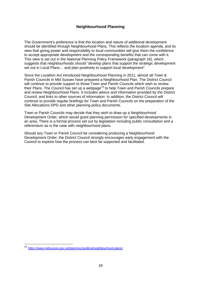# **Neighbourhood Planning**

The Government's preference is that the location and nature of additional development should be identified through Neighbourhood Plans. This reflects the localism agenda, and its view that giving power and responsibility to local communities will give them the confidence to accept appropriate development and the corresponding benefits that can come with it. This view is set out in the National Planning Policy Framework (paragraph 16), which suggests that neighbourhoods should "develop plans that support the strategic development set out in Local Plans… and plan positively to support local development".

Since the Localism Act introduced Neighbourhood Planning in 2011, almost all Town & Parish Councils in Mid Sussex have prepared a Neighbourhood Plan. The District Council will continue to provide support to those Town and Parish Councils which wish to review their Plans. The Council has set up a webpage<sup>[19](#page-19-0)</sup> to help Town and Parish Councils prepare and review Neighbourhood Plans. It includes advice and information provided by the District Council, and links to other sources of information. In addition, the District Council will continue to provide regular briefings for Town and Parish Councils on the preparation of the Site Allocations DPD and other planning policy documents.

Town or Parish Councils may decide that they wish to draw up a Neighbourhood Development Order, which would grant planning permission for specified developments in an area. There is a formal process set out by legislation including public consultation and a referendum as is the case with neighbourhood plans.

Should any Town or Parish Council be considering producing a Neighbourhood Development Order, the District Council strongly encourages early engagement with the Council to explore how the process can best be supported and facilitated.

<span id="page-19-0"></span> <sup>19</sup> <https://www.midsussex.gov.uk/planning-building/neighbourhood-plans/>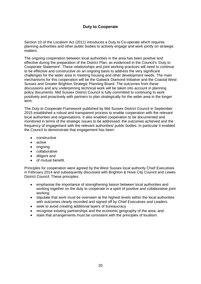# **Duty to Cooperate**

Section 10 of the Localism Act (2011) introduces a Duty to Co-operate which requires planning authorities and other public bodies to actively engage and work jointly on strategic matters.

The ongoing cooperation between local authorities in the area has been positive and effective during the preparation of the District Plan, as evidenced in the Council's 'Duty to Cooperate Statement'. These relationships and joint working practices will need to continue to be effective and constructive on an ongoing basis to address the very significant challenges for the wider area in meeting housing and other development needs. The main mechanisms for this cooperation will be the Gatwick Diamond Initiative and the Coastal West Sussex and Greater Brighton Strategic Planning Board. The outcomes from these discussions and any underpinning technical work will be taken into account in planning policy documents. Mid Sussex District Council is fully committed to continuing to work positively and proactively with partners to plan strategically for the wider area in the longer term.

The *Duty to Cooperate Framework* published by Mid Sussex District Council in September 2015 established a robust and transparent process to enable cooperation with the relevant local authorities and organisations. It also enabled cooperation to be documented and monitored in terms of the strategic issues to be addressed, the outcomes achieved and the frequency of engagement with the relevant authorities/ public bodies. In particular it enabled the Council to demonstrate that engagement has been:

- constructive
- active
- ongoing
- collaborative
- diligent and
- of mutual benefit.

Principles for cooperation were agreed by the West Sussex local authority Chief Executives in February 2014 and subsequently discussed with Brighton & Hove City Council and Lewes District Council. These principles:

- emphasise the importance of strengthening liaison between local authorities and working together on the duty to cooperate in a spirit of positive and collaborative joint working
- stipulate that work must be overseen at the highest levels within the local authorities with outcomes clearly recorded and signed off by Chief Executives and Leaders
- seek to avoid creating additional layers of bureaucracy
- recognise existing partnerships and the economic geography of the area; and
- state that arrangements must be consistent with the principles of localism.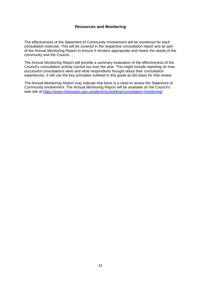# **Resources and Monitoring**

The effectiveness of the Statement of Community Involvement will be monitored for each consultation exercise. This will be covered in the respective consultation report and as part of the Annual Monitoring Report to ensure it remains appropriate and meets the needs of the community and the Council.

The Annual Monitoring Report will provide a summary evaluation of the effectiveness of the Council's consultation activity carried out over the year. This might include reporting on how successful consultations were and what respondents thought about their consultation experiences. It will use the key principles outlined in this guide as the basis for that review.

The Annual Monitoring Report may indicate that there is a need to review the Statement of Community Involvement. The Annual Monitoring Report will be available on the Council's web site at [https://www.midsussex.gov.uk/planning-building/consultation-monitoring/.](https://www.midsussex.gov.uk/planning-building/consultation-monitoring/)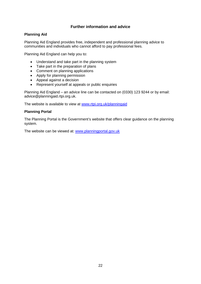# **Further information and advice**

#### **Planning Aid**

Planning Aid England provides free, independent and professional planning advice to communities and individuals who cannot afford to pay professional fees.

Planning Aid England can help you to:

- Understand and take part in the planning system
- Take part in the preparation of plans
- Comment on planning applications
- Apply for planning permission
- Appeal against a decision
- Represent yourself at appeals or public enquiries

Planning Aid England – an advice line can be contacted on (0330) 123 9244 or by email: advice@planningaid.rtpi.org.uk.

The website is available to view at [www.rtpi.org.uk/planningaid](http://www.rtpi.org.uk/planningaid)

# **Planning Portal**

The Planning Portal is the Government's website that offers clear guidance on the planning system.

The website can be viewed at: [www.planningportal.gov.uk](http://www.planningportal.gov.uk/)